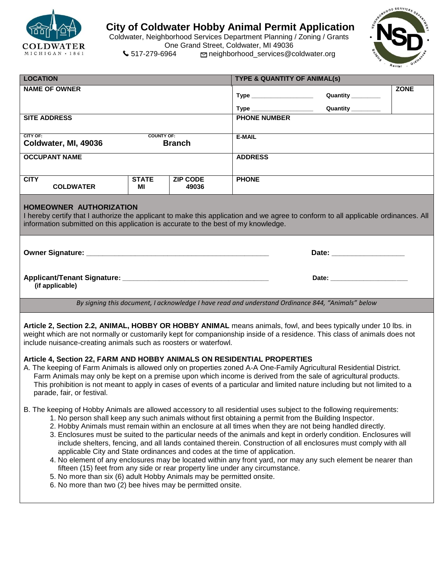

## **City of Coldwater Hobby Animal Permit Application**

Coldwater, Neighborhood Services Department Planning / Zoning / Grants One Grand Street, Coldwater, MI 49036<br>517-279-6964 meighborhood\_services@c 517-279-6964 neighborhood\_services@coldwater.org



| <b>LOCATION</b>                                                                                                                                                                                                                                                                                                                                                                                                                                                                                                                                                                                                                                                                                                                                                                                                                                                                                                                                                                                          |                    |                          | <b>TYPE &amp; QUANTITY OF ANIMAL(s)</b> |                   |             |  |
|----------------------------------------------------------------------------------------------------------------------------------------------------------------------------------------------------------------------------------------------------------------------------------------------------------------------------------------------------------------------------------------------------------------------------------------------------------------------------------------------------------------------------------------------------------------------------------------------------------------------------------------------------------------------------------------------------------------------------------------------------------------------------------------------------------------------------------------------------------------------------------------------------------------------------------------------------------------------------------------------------------|--------------------|--------------------------|-----------------------------------------|-------------------|-------------|--|
| <b>NAME OF OWNER</b>                                                                                                                                                                                                                                                                                                                                                                                                                                                                                                                                                                                                                                                                                                                                                                                                                                                                                                                                                                                     |                    |                          | Type ____________________               | Quantity ________ | <b>ZONE</b> |  |
|                                                                                                                                                                                                                                                                                                                                                                                                                                                                                                                                                                                                                                                                                                                                                                                                                                                                                                                                                                                                          |                    |                          |                                         | Quantity ________ |             |  |
| <b>SITE ADDRESS</b>                                                                                                                                                                                                                                                                                                                                                                                                                                                                                                                                                                                                                                                                                                                                                                                                                                                                                                                                                                                      |                    |                          | <b>PHONE NUMBER</b>                     |                   |             |  |
| CITY OF:<br><b>COUNTY OF:</b>                                                                                                                                                                                                                                                                                                                                                                                                                                                                                                                                                                                                                                                                                                                                                                                                                                                                                                                                                                            |                    |                          | E-MAIL                                  |                   |             |  |
| Coldwater, MI, 49036<br><b>Branch</b>                                                                                                                                                                                                                                                                                                                                                                                                                                                                                                                                                                                                                                                                                                                                                                                                                                                                                                                                                                    |                    |                          |                                         |                   |             |  |
| <b>OCCUPANT NAME</b>                                                                                                                                                                                                                                                                                                                                                                                                                                                                                                                                                                                                                                                                                                                                                                                                                                                                                                                                                                                     |                    |                          | <b>ADDRESS</b>                          |                   |             |  |
| <b>CITY</b><br><b>COLDWATER</b>                                                                                                                                                                                                                                                                                                                                                                                                                                                                                                                                                                                                                                                                                                                                                                                                                                                                                                                                                                          | <b>STATE</b><br>МI | <b>ZIP CODE</b><br>49036 | <b>PHONE</b>                            |                   |             |  |
| HOMEOWNER AUTHORIZATION<br>I hereby certify that I authorize the applicant to make this application and we agree to conform to all applicable ordinances. All<br>information submitted on this application is accurate to the best of my knowledge.                                                                                                                                                                                                                                                                                                                                                                                                                                                                                                                                                                                                                                                                                                                                                      |                    |                          |                                         |                   |             |  |
|                                                                                                                                                                                                                                                                                                                                                                                                                                                                                                                                                                                                                                                                                                                                                                                                                                                                                                                                                                                                          |                    |                          |                                         |                   |             |  |
| (if applicable)                                                                                                                                                                                                                                                                                                                                                                                                                                                                                                                                                                                                                                                                                                                                                                                                                                                                                                                                                                                          |                    |                          | Date: ________________________          |                   |             |  |
| By signing this document, I acknowledge I have read and understand Ordinance 844, "Animals" below                                                                                                                                                                                                                                                                                                                                                                                                                                                                                                                                                                                                                                                                                                                                                                                                                                                                                                        |                    |                          |                                         |                   |             |  |
| Article 2, Section 2.2, ANIMAL, HOBBY OR HOBBY ANIMAL means animals, fowl, and bees typically under 10 lbs. in<br>weight which are not normally or customarily kept for companionship inside of a residence. This class of animals does not<br>include nuisance-creating animals such as roosters or waterfowl.<br>Article 4, Section 22, FARM AND HOBBY ANIMALS ON RESIDENTIAL PROPERTIES<br>A. The keeping of Farm Animals is allowed only on properties zoned A-A One-Family Agricultural Residential District.<br>Farm Animals may only be kept on a premise upon which income is derived from the sale of agricultural products.<br>This prohibition is not meant to apply in cases of events of a particular and limited nature including but not limited to a<br>parade, fair, or festival.                                                                                                                                                                                                       |                    |                          |                                         |                   |             |  |
| B. The keeping of Hobby Animals are allowed accessory to all residential uses subject to the following requirements:<br>1. No person shall keep any such animals without first obtaining a permit from the Building Inspector.<br>2. Hobby Animals must remain within an enclosure at all times when they are not being handled directly.<br>3. Enclosures must be suited to the particular needs of the animals and kept in orderly condition. Enclosures will<br>include shelters, fencing, and all lands contained therein. Construction of all enclosures must comply with all<br>applicable City and State ordinances and codes at the time of application.<br>4. No element of any enclosures may be located within any front yard, nor may any such element be nearer than<br>fifteen (15) feet from any side or rear property line under any circumstance.<br>5. No more than six (6) adult Hobby Animals may be permitted onsite.<br>6. No more than two (2) bee hives may be permitted onsite. |                    |                          |                                         |                   |             |  |